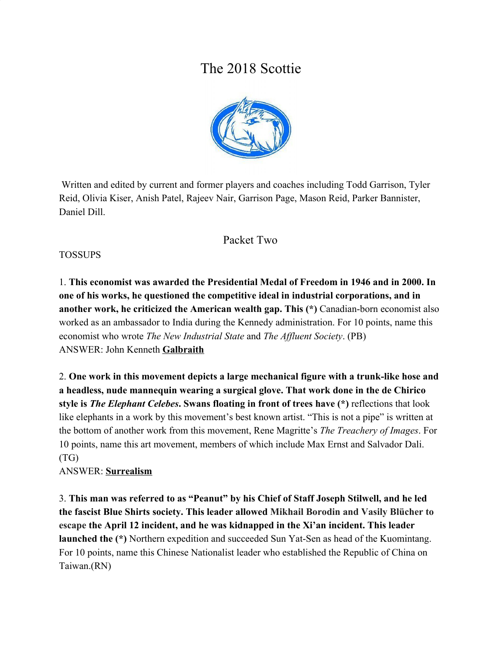# The 2018 Scottie



 Written and edited by current and former players and coaches including Todd Garrison, Tyler Reid, Olivia Kiser, Anish Patel, Rajeev Nair, Garrison Page, Mason Reid, Parker Bannister, Daniel Dill.

# Packet Two

#### TOSSUPS

1. **This economist was awarded the Presidential Medal of Freedom in 1946 and in 2000. In one of his works, he questioned the competitive ideal in industrial corporations, and in another work, he criticized the American wealth gap. This (\*)** Canadian-born economist also worked as an ambassador to India during the Kennedy administration. For 10 points, name this economist who wrote *The New Industrial State* and *The Affluent Society*. (PB) ANSWER: John Kenneth **Galbraith**

2. **One work in this movement depicts a large mechanical figure with a trunk-like hose and a headless, nude mannequin wearing a surgical glove. That work done in the de Chirico style is** *The Elephant Celebes***. Swans floating in front of trees have (\*)** reflections that look like elephants in a work by this movement's best known artist. "This is not a pipe" is written at the bottom of another work from this movement, Rene Magritte's *The Treachery of Images*. For 10 points, name this art movement, members of which include Max Ernst and Salvador Dali. (TG)

#### ANSWER: **Surrealism**

3. **This man was referred to as "Peanut" by his Chief of Staff Joseph Stilwell, and he led the fascist Blue Shirts society. This leader allowed Mikhail Borodin and Vasily Blücher to escape the April 12 incident, and he was kidnapped in the Xi'an incident. This leader launched the (\*)** Northern expedition and succeeded Sun Yat-Sen as head of the Kuomintang. For 10 points, name this Chinese Nationalist leader who established the Republic of China on Taiwan.(RN)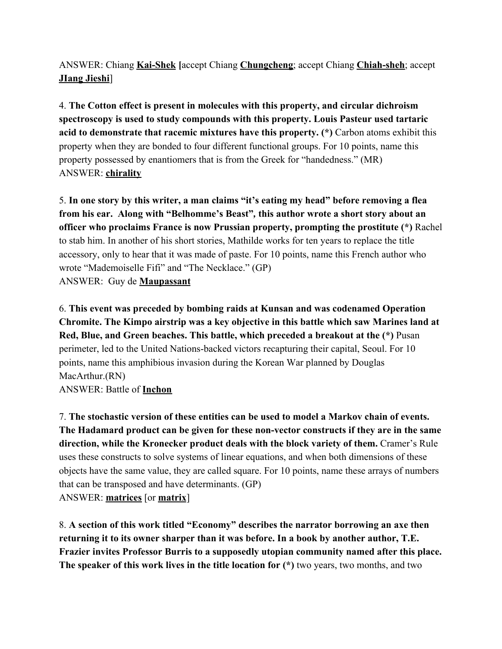ANSWER: Chiang **Kai-Shek [**accept Chiang **Chungcheng**; accept Chiang **Chiah-sheh**; accept **JIang Jieshi**]

4. **The Cotton effect is present in molecules with this property, and circular dichroism spectroscopy is used to study compounds with this property. Louis Pasteur used tartaric acid to demonstrate that racemic mixtures have this property. (\*)** Carbon atoms exhibit this property when they are bonded to four different functional groups. For 10 points, name this property possessed by enantiomers that is from the Greek for "handedness." (MR) ANSWER: **chirality**

5. **In one story by this writer, a man claims "it's eating my head" before removing a flea from his ear. Along with "Belhomme's Beast"***,* **this author wrote a short story about an officer who proclaims France is now Prussian property, prompting the prostitute (\*)** Rachel to stab him. In another of his short stories, Mathilde works for ten years to replace the title accessory, only to hear that it was made of paste. For 10 points, name this French author who wrote "Mademoiselle Fifi" and "The Necklace." (GP) ANSWER: Guy de **Maupassant**

6. **This event was preceded by bombing raids at Kunsan and was codenamed Operation Chromite. The Kimpo airstrip was a key objective in this battle which saw Marines land at Red, Blue, and Green beaches. This battle, which preceded a breakout at the (\*)** Pusan perimeter, led to the United Nations-backed victors recapturing their capital, Seoul. For 10 points, name this amphibious invasion during the Korean War planned by Douglas MacArthur.(RN) ANSWER: Battle of **Inchon**

7. **The stochastic version of these entities can be used to model a Markov chain of events. The Hadamard product can be given for these non-vector constructs if they are in the same direction, while the Kronecker product deals with the block variety of them.** Cramer's Rule uses these constructs to solve systems of linear equations, and when both dimensions of these objects have the same value, they are called square. For 10 points, name these arrays of numbers that can be transposed and have determinants. (GP) ANSWER: **matrices** [or **matrix**]

8. **A section of this work titled "Economy" describes the narrator borrowing an axe then returning it to its owner sharper than it was before. In a book by another author, T.E. Frazier invites Professor Burris to a supposedly utopian community named after this place. The speaker of this work lives in the title location for (\*)** two years, two months, and two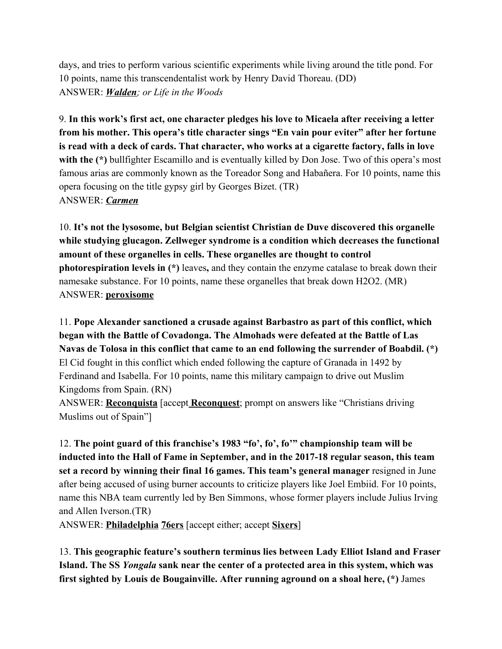days, and tries to perform various scientific experiments while living around the title pond. For 10 points, name this transcendentalist work by Henry David Thoreau. (DD) ANSWER: *Walden; or Life in the Woods*

9. **In this work's first act, one character pledges his love to Micaela after receiving a letter from his mother. This opera's title character sings "En vain pour eviter" after her fortune is read with a deck of cards. That character, who works at a cigarette factory, falls in love** with the (\*) bullfighter Escamillo and is eventually killed by Don Jose. Two of this opera's most famous arias are commonly known as the Toreador Song and Habañera. For 10 points, name this opera focusing on the title gypsy girl by Georges Bizet. (TR) ANSWER: *Carmen*

10. **It's not the lysosome, but Belgian scientist Christian de Duve discovered this organelle while studying glucagon. Zellweger syndrome is a condition which decreases the functional amount of these organelles in cells. These organelles are thought to control photorespiration levels in (\*)** leaves**,** and they contain the enzyme catalase to break down their namesake substance. For 10 points, name these organelles that break down H2O2. (MR) ANSWER: **peroxisome**

11. **Pope Alexander sanctioned a crusade against Barbastro as part of this conflict, which began with the Battle of Covadonga. The Almohads were defeated at the Battle of Las Navas de Tolosa in this conflict that came to an end following the surrender of Boabdil. (\*)** El Cid fought in this conflict which ended following the capture of Granada in 1492 by Ferdinand and Isabella. For 10 points, name this military campaign to drive out Muslim Kingdoms from Spain. (RN)

ANSWER: **Reconquista** [accept **Reconquest**; prompt on answers like "Christians driving Muslims out of Spain"]

12. **The point guard of this franchise's 1983 "fo', fo', fo'" championship team will be inducted into the Hall of Fame in September, and in the 2017-18 regular season, this team set a record by winning their final 16 games. This team's general manager** resigned in June after being accused of using burner accounts to criticize players like Joel Embiid. For 10 points, name this NBA team currently led by Ben Simmons, whose former players include Julius Irving and Allen Iverson.(TR)

ANSWER: **Philadelphia 76ers** [accept either; accept **Sixers**]

13. **This geographic feature's southern terminus lies between Lady Elliot Island and Fraser Island. The SS** *Yongala* **sank near the center of a protected area in this system, which was first sighted by Louis de Bougainville. After running aground on a shoal here, (\*)** James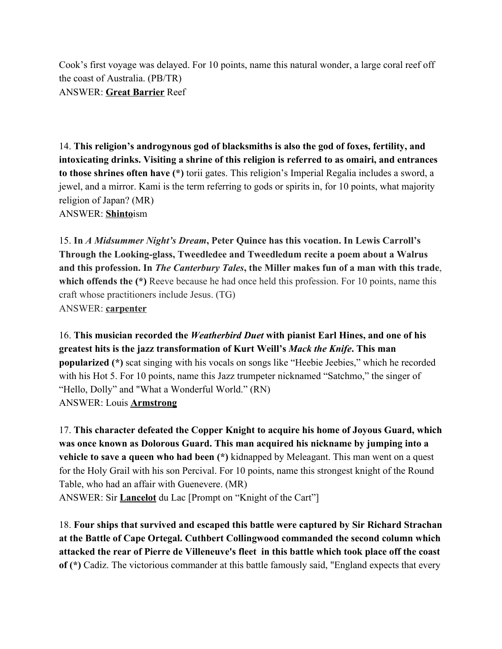Cook's first voyage was delayed. For 10 points, name this natural wonder, a large coral reef off the coast of Australia. (PB/TR) ANSWER: **Great Barrier** Reef

14. **This religion's androgynous god of blacksmiths is also the god of foxes, fertility, and intoxicating drinks. Visiting a shrine of this religion is referred to as omairi, and entrances to those shrines often have (\*)** torii gates. This religion's Imperial Regalia includes a sword, a jewel, and a mirror. Kami is the term referring to gods or spirits in, for 10 points, what majority religion of Japan? (MR) ANSWER: **Shinto**ism

15. **In** *A Midsummer Night's Dream***, Peter Quince has this vocation. In Lewis Carroll's Through the Looking-glass, Tweedledee and Tweedledum recite a poem about a Walrus and this profession. In** *The Canterbury Tales***, the Miller makes fun of a man with this trade**, **which offends the (\*)** Reeve because he had once held this profession. For 10 points, name this craft whose practitioners include Jesus. (TG) ANSWER: **carpenter**

16. **This musician recorded the** *Weatherbird Duet* **with pianist Earl Hines, and one of his greatest hits is the jazz transformation of Kurt Weill's** *Mack the Knife***. This man popularized (\*)** scat singing with his vocals on songs like "Heebie Jeebies," which he recorded with his Hot 5. For 10 points, name this Jazz trumpeter nicknamed "Satchmo," the singer of "Hello, Dolly" and "What a Wonderful World." (RN) ANSWER: Louis **Armstrong**

17. **This character defeated the Copper Knight to acquire his home of Joyous Guard, which was once known as Dolorous Guard. This man acquired his nickname by jumping into a vehicle to save a queen who had been (\*)** kidnapped by Meleagant. This man went on a quest for the Holy Grail with his son Percival. For 10 points, name this strongest knight of the Round Table, who had an affair with Guenevere. (MR) ANSWER: Sir **Lancelot** du Lac [Prompt on "Knight of the Cart"]

18. **Four ships that survived and escaped this battle were captured by Sir Richard Strachan at the Battle of Cape Ortegal. Cuthbert Collingwood commanded the second column which attacked the rear of Pierre de Villeneuve's fleet in this battle which took place off the coast of (\*)** Cadiz. The victorious commander at this battle famously said, "England expects that every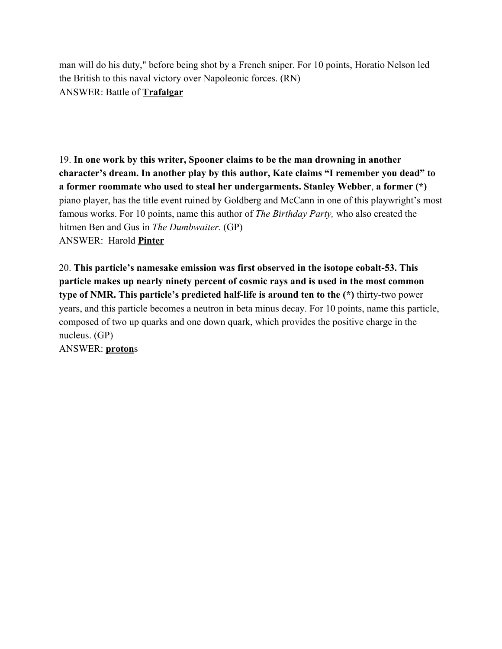man will do his duty," before being shot by a French sniper. For 10 points, Horatio Nelson led the British to this naval victory over Napoleonic forces. (RN) ANSWER: Battle of **Trafalgar**

19. **In one work by this writer, Spooner claims to be the man drowning in another character's dream. In another play by this author, Kate claims "I remember you dead" to a former roommate who used to steal her undergarments. Stanley Webber**, **a former (\*)** piano player, has the title event ruined by Goldberg and McCann in one of this playwright's most famous works. For 10 points, name this author of *The Birthday Party,* who also created the hitmen Ben and Gus in *The Dumbwaiter.* (GP) ANSWER: Harold **Pinter**

20. **This particle's namesake emission was first observed in the isotope cobalt-53. This particle makes up nearly ninety percent of cosmic rays and is used in the most common type of NMR. This particle's predicted half-life is around ten to the (\*)** thirty-two power years, and this particle becomes a neutron in beta minus decay. For 10 points, name this particle, composed of two up quarks and one down quark, which provides the positive charge in the nucleus. (GP)

ANSWER: **proton**s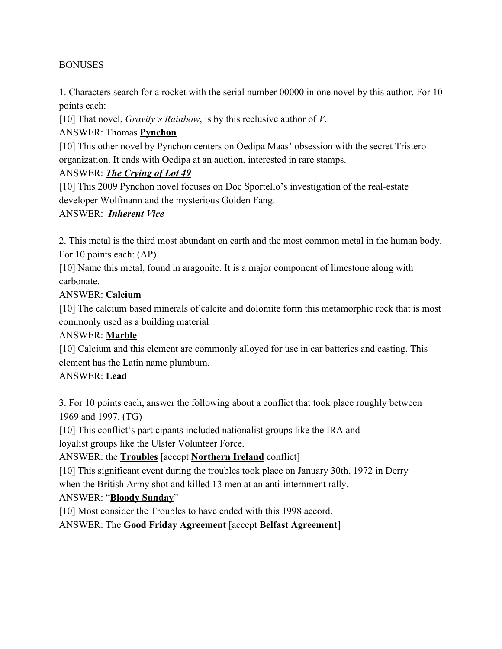#### BONUSES

1. Characters search for a rocket with the serial number 00000 in one novel by this author. For 10 points each:

[10] That novel, *Gravity's Rainbow*, is by this reclusive author of *V..*

#### ANSWER: Thomas **Pynchon**

[10] This other novel by Pynchon centers on Oedipa Maas' obsession with the secret Tristero organization. It ends with Oedipa at an auction, interested in rare stamps.

### ANSWER: *The Crying of Lot 49*

[10] This 2009 Pynchon novel focuses on Doc Sportello's investigation of the real-estate developer Wolfmann and the mysterious Golden Fang.

#### ANSWER: *Inherent Vice*

2. This metal is the third most abundant on earth and the most common metal in the human body. For 10 points each: (AP)

[10] Name this metal, found in aragonite. It is a major component of limestone along with carbonate.

#### ANSWER: **Calcium**

[10] The calcium based minerals of calcite and dolomite form this metamorphic rock that is most commonly used as a building material

#### ANSWER: **Marble**

[10] Calcium and this element are commonly alloyed for use in car batteries and casting. This element has the Latin name plumbum.

# ANSWER: **Lead**

3. For 10 points each, answer the following about a conflict that took place roughly between 1969 and 1997. (TG)

[10] This conflict's participants included nationalist groups like the IRA and loyalist groups like the Ulster Volunteer Force.

# ANSWER: the **Troubles** [accept **Northern Ireland** conflict]

[10] This significant event during the troubles took place on January 30th, 1972 in Derry when the British Army shot and killed 13 men at an anti-internment rally.

# ANSWER: "**Bloody Sunday**"

[10] Most consider the Troubles to have ended with this 1998 accord.

ANSWER: The **Good Friday Agreement** [accept **Belfast Agreement**]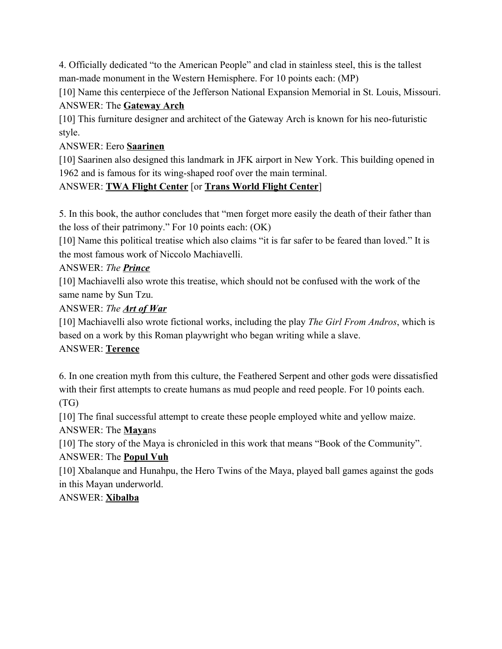4. Officially dedicated "to the American People" and clad in stainless steel, this is the tallest man-made monument in the Western Hemisphere. For 10 points each: (MP)

[10] Name this centerpiece of the Jefferson National Expansion Memorial in St. Louis, Missouri. ANSWER: The **Gateway Arch**

[10] This furniture designer and architect of the Gateway Arch is known for his neo-futuristic style.

# ANSWER: Eero **Saarinen**

[10] Saarinen also designed this landmark in JFK airport in New York. This building opened in 1962 and is famous for its wing-shaped roof over the main terminal.

ANSWER: **TWA Flight Center** [or **Trans World Flight Center**]

5. In this book, the author concludes that "men forget more easily the death of their father than the loss of their patrimony." For 10 points each: (OK)

[10] Name this political treatise which also claims "it is far safer to be feared than loved." It is the most famous work of Niccolo Machiavelli.

# ANSWER: *The Prince*

[10] Machiavelli also wrote this treatise, which should not be confused with the work of the same name by Sun Tzu.

# ANSWER: *The Art of War*

[10] Machiavelli also wrote fictional works, including the play *The Girl From Andros*, which is based on a work by this Roman playwright who began writing while a slave.

# ANSWER: **Terence**

6. In one creation myth from this culture, the Feathered Serpent and other gods were dissatisfied with their first attempts to create humans as mud people and reed people. For 10 points each. (TG)

[10] The final successful attempt to create these people employed white and yellow maize. ANSWER: The **Maya**ns

[10] The story of the Maya is chronicled in this work that means "Book of the Community". ANSWER: The **Popul Vuh**

[10] Xbalanque and Hunahpu, the Hero Twins of the Maya, played ball games against the gods in this Mayan underworld.

# ANSWER: **Xibalba**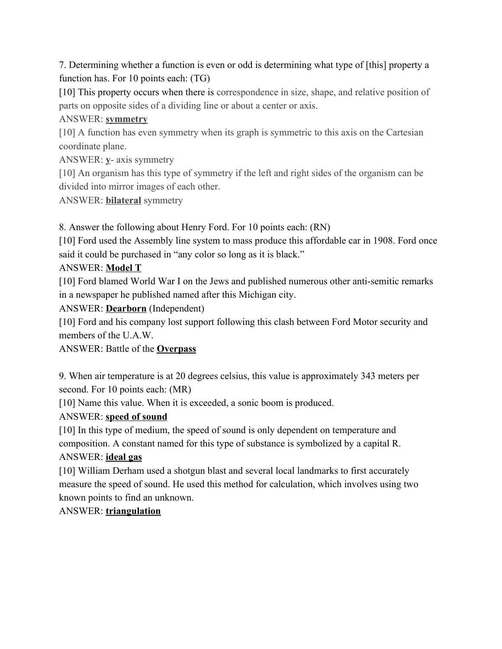7. Determining whether a function is even or odd is determining what type of [this] property a function has. For 10 points each: (TG)

[10] This property occurs when there is correspondence in size, shape, and relative position of parts on opposite sides of a dividing line or about a center or axis.

ANSWER: **symmetry**

[10] A function has even symmetry when its graph is symmetric to this axis on the Cartesian coordinate plane.

ANSWER: **y**- axis symmetry

[10] An organism has this type of symmetry if the left and right sides of the organism can be divided into mirror images of each other.

ANSWER: **bilateral** symmetry

8. Answer the following about Henry Ford. For 10 points each: (RN)

[10] Ford used the Assembly line system to mass produce this affordable car in 1908. Ford once said it could be purchased in "any color so long as it is black."

# ANSWER: **Model T**

[10] Ford blamed World War I on the Jews and published numerous other anti-semitic remarks in a newspaper he published named after this Michigan city.

# ANSWER: **Dearborn** (Independent)

[10] Ford and his company lost support following this clash between Ford Motor security and members of the U.A.W.

ANSWER: Battle of the **Overpass**

9. When air temperature is at 20 degrees celsius, this value is approximately 343 meters per second. For 10 points each: (MR)

[10] Name this value. When it is exceeded, a sonic boom is produced.

# ANSWER: **speed of sound**

[10] In this type of medium, the speed of sound is only dependent on temperature and composition. A constant named for this type of substance is symbolized by a capital R. ANSWER: **ideal gas**

[10] William Derham used a shotgun blast and several local landmarks to first accurately measure the speed of sound. He used this method for calculation, which involves using two known points to find an unknown.

# ANSWER: **triangulation**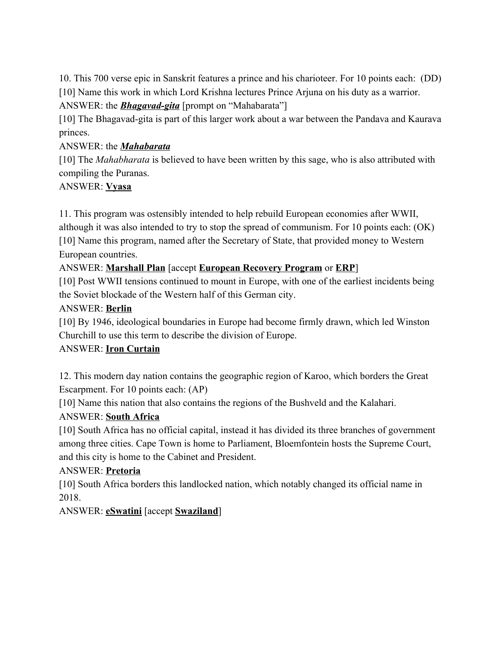10. This 700 verse epic in Sanskrit features a prince and his charioteer. For 10 points each: (DD) [10] Name this work in which Lord Krishna lectures Prince Arjuna on his duty as a warrior.

ANSWER: the *Bhagavad-gita* [prompt on "Mahabarata"]

[10] The Bhagavad-gita is part of this larger work about a war between the Pandava and Kaurava princes.

### ANSWER: the *Mahabarata*

[10] The *Mahabharata* is believed to have been written by this sage, who is also attributed with compiling the Puranas.

# ANSWER: **Vyasa**

11. This program was ostensibly intended to help rebuild European economies after WWII,

although it was also intended to try to stop the spread of communism. For 10 points each: (OK) [10] Name this program, named after the Secretary of State, that provided money to Western European countries.

# ANSWER: **Marshall Plan** [accept **European Recovery Program** or **ERP**]

[10] Post WWII tensions continued to mount in Europe, with one of the earliest incidents being the Soviet blockade of the Western half of this German city.

### ANSWER: **Berlin**

[10] By 1946, ideological boundaries in Europe had become firmly drawn, which led Winston Churchill to use this term to describe the division of Europe.

#### ANSWER: **Iron Curtain**

12. This modern day nation contains the geographic region of Karoo, which borders the Great Escarpment. For 10 points each: (AP)

[10] Name this nation that also contains the regions of the Bushveld and the Kalahari.

# ANSWER: **South Africa**

[10] South Africa has no official capital, instead it has divided its three branches of government among three cities. Cape Town is home to Parliament, Bloemfontein hosts the Supreme Court, and this city is home to the Cabinet and President.

# ANSWER: **Pretoria**

[10] South Africa borders this landlocked nation, which notably changed its official name in 2018.

ANSWER: **eSwatini** [accept **Swaziland**]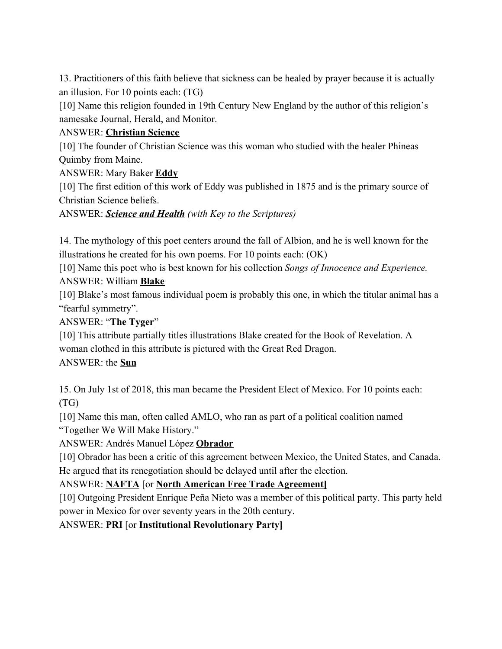13. Practitioners of this faith believe that sickness can be healed by prayer because it is actually an illusion. For 10 points each: (TG)

[10] Name this religion founded in 19th Century New England by the author of this religion's namesake Journal, Herald, and Monitor.

### ANSWER: **Christian Science**

[10] The founder of Christian Science was this woman who studied with the healer Phineas Quimby from Maine.

ANSWER: Mary Baker **Eddy**

[10] The first edition of this work of Eddy was published in 1875 and is the primary source of Christian Science beliefs.

ANSWER: *Science and Health (with Key to the Scriptures)*

14. The mythology of this poet centers around the fall of Albion, and he is well known for the illustrations he created for his own poems. For 10 points each: (OK)

[10] Name this poet who is best known for his collection *Songs of Innocence and Experience.* ANSWER: William **Blake**

[10] Blake's most famous individual poem is probably this one, in which the titular animal has a "fearful symmetry".

ANSWER: "**The Tyger**"

[10] This attribute partially titles illustrations Blake created for the Book of Revelation. A woman clothed in this attribute is pictured with the Great Red Dragon.

ANSWER: the **Sun**

15. On July 1st of 2018, this man became the President Elect of Mexico. For 10 points each: (TG)

[10] Name this man, often called AMLO, who ran as part of a political coalition named "Together We Will Make History."

ANSWER: Andrés Manuel López **Obrador**

[10] Obrador has been a critic of this agreement between Mexico, the United States, and Canada. He argued that its renegotiation should be delayed until after the election.

ANSWER: **NAFTA** [or **North American Free Trade Agreement]**

[10] Outgoing President Enrique Peña Nieto was a member of this political party. This party held power in Mexico for over seventy years in the 20th century.

ANSWER: **PRI** [or **Institutional Revolutionary Party]**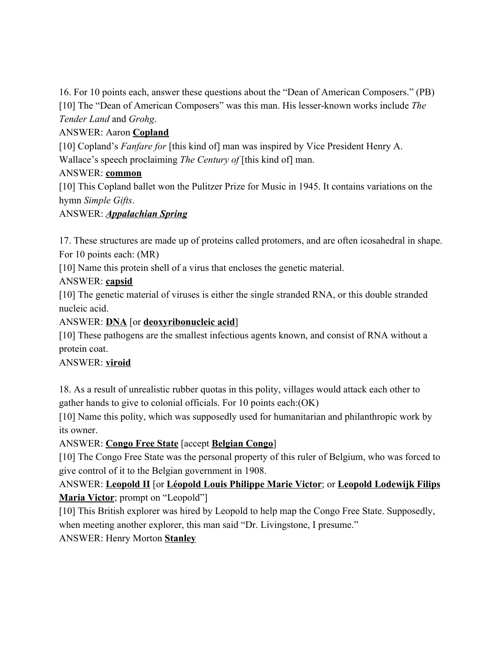16. For 10 points each, answer these questions about the "Dean of American Composers." (PB) [10] The "Dean of American Composers" was this man. His lesser-known works include *The Tender Land* and *Grohg*.

# ANSWER: Aaron **Copland**

[10] Copland's *Fanfare for* [this kind of] man was inspired by Vice President Henry A. Wallace's speech proclaiming *The Century of* [this kind of] man.

# ANSWER: **common**

[10] This Copland ballet won the Pulitzer Prize for Music in 1945. It contains variations on the hymn *Simple Gifts*.

# ANSWER: *Appalachian Spring*

17. These structures are made up of proteins called protomers, and are often icosahedral in shape. For 10 points each: (MR)

[10] Name this protein shell of a virus that encloses the genetic material.

# ANSWER: **capsid**

[10] The genetic material of viruses is either the single stranded RNA, or this double stranded nucleic acid.

# ANSWER: **DNA** [or **deoxyribonucleic acid**]

[10] These pathogens are the smallest infectious agents known, and consist of RNA without a protein coat.

# ANSWER: **viroid**

18. As a result of unrealistic rubber quotas in this polity, villages would attack each other to gather hands to give to colonial officials. For 10 points each:(OK)

[10] Name this polity, which was supposedly used for humanitarian and philanthropic work by its owner.

# ANSWER: **Congo Free State** [accept **Belgian Congo**]

[10] The Congo Free State was the personal property of this ruler of Belgium, who was forced to give control of it to the Belgian government in 1908.

# ANSWER: **Leopold II** [or **Léopold Louis Philippe Marie Victor**; or **Leopold Lodewijk Filips Maria Victor**; prompt on "Leopold"]

[10] This British explorer was hired by Leopold to help map the Congo Free State. Supposedly, when meeting another explorer, this man said "Dr. Livingstone, I presume."

ANSWER: Henry Morton **Stanley**